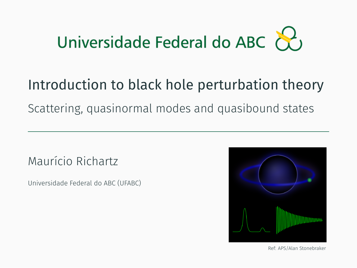# Universidade Federal do ABC  $\&$

### Introduction to black hole perturbation theory

Scattering, quasinormal modes and quasibound states

Maurício Richartz

Universidade Federal do ABC (UFABC)



Ref: APS/Alan Stonebraker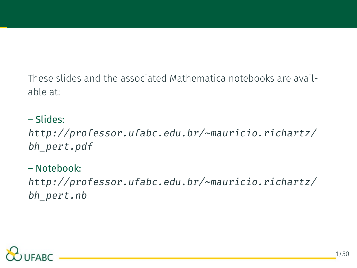These slides and the associated Mathematica notebooks are available at:

– Slides: *[http://professor.ufabc.edu.br/~mauricio.richartz/](http://professor.ufabc.edu.br/~mauricio.richartz/bh_pert.pdf) [bh\\_pert.pdf](http://professor.ufabc.edu.br/~mauricio.richartz/bh_pert.pdf)*

– Notebook: *[http://professor.ufabc.edu.br/~mauricio.richartz/](http://professor.ufabc.edu.br/~mauricio.richartz/bh_pert.nb) [bh\\_pert.nb](http://professor.ufabc.edu.br/~mauricio.richartz/bh_pert.nb)*

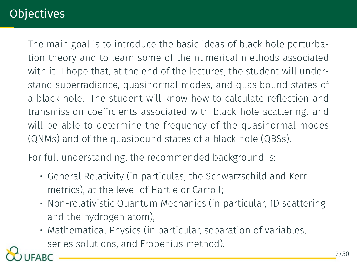### **Objectives**

The main goal is to introduce the basic ideas of black hole perturbation theory and to learn some of the numerical methods associated with it. I hope that, at the end of the lectures, the student will understand superradiance, quasinormal modes, and quasibound states of a black hole. The student will know how to calculate reflection and transmission coefficients associated with black hole scattering, and will be able to determine the frequency of the quasinormal modes (QNMs) and of the quasibound states of a black hole (QBSs).

For full understanding, the recommended background is:

- General Relativity (in particulas, the Schwarzschild and Kerr metrics), at the level of Hartle or Carroll;
- Non-relativistic Quantum Mechanics (in particular, 1D scattering and the hydrogen atom);
- Mathematical Physics (in particular, separation of variables, series solutions, and Frobenius method).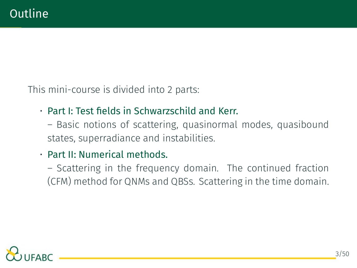This mini-course is divided into 2 parts:

- Part I: Test fields in Schwarzschild and Kerr.
	- Basic notions of scattering, quasinormal modes, quasibound states, superradiance and instabilities.
- Part II: Numerical methods.
	- Scattering in the frequency domain. The continued fraction (CFM) method for QNMs and QBSs. Scattering in the time domain.

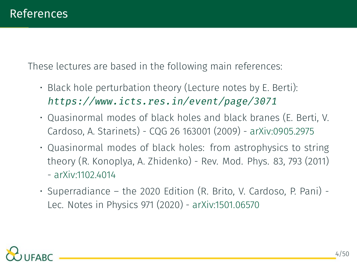These lectures are based in the following main references:

- Black hole perturbation theory (Lecture notes by E. Berti): *[https://www.icts.res.in/event/page/3071]( https://www.icts.res.in/event/page/3071)*
- Quasinormal modes of black holes and black branes (E. Berti, V. Cardoso, A. Starinets) - CQG 26 163001 (2009) - arXiv:0905.2975
- Quasinormal modes of black holes: from astrophysics to string theory (R. Konoplya, A. Zhidenko) - Rev. Mod. Phys. 83, 793 (2011) - arXiv:1102.4014
- Superradiance the 2020 Edition (R. Brito, V. Cardoso, P. Pani) Lec. Notes in Physics 971 (2020) - arXiv:1501.06570

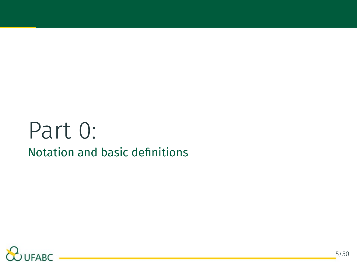### Part 0: Notation and basic definitions

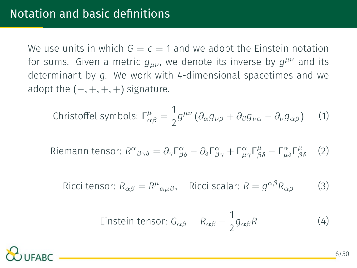We use units in which  $G = c = 1$  and we adopt the Einstein notation for sums. Given a metric *gµν*, we denote its inverse by *g µν* and its determinant by *g*. We work with 4-dimensional spacetimes and we adopt the (*−,* +*,* +*,* +) signature.

Christoffel symbols: 
$$
\Gamma^{\mu}_{\alpha\beta} = \frac{1}{2} g^{\mu\nu} \left( \partial_{\alpha} g_{\nu\beta} + \partial_{\beta} g_{\nu\alpha} - \partial_{\nu} g_{\alpha\beta} \right)
$$
 (1)

Riemann tensor: 
$$
R^{\alpha}{}_{\beta\gamma\delta} = \partial_{\gamma}\Gamma^{\alpha}_{\beta\delta} - \partial_{\delta}\Gamma^{\alpha}_{\beta\gamma} + \Gamma^{\alpha}_{\mu\gamma}\Gamma^{\mu}_{\beta\delta} - \Gamma^{\alpha}_{\mu\delta}\Gamma^{\mu}_{\beta\delta}
$$
 (2)

Ricci tensor:  $R_{\alpha\beta} = R^{\mu}{}_{\alpha\mu\beta}$ , Ricci scalar:  $R = g^{\alpha\beta}R_{\alpha\beta}$  (3)

Einstein tensor: 
$$
G_{\alpha\beta} = R_{\alpha\beta} - \frac{1}{2}g_{\alpha\beta}R
$$
 (4)

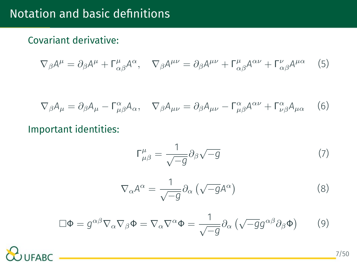#### Covariant derivative:

$$
\nabla_{\beta}A^{\mu} = \partial_{\beta}A^{\mu} + \Gamma^{\mu}_{\alpha\beta}A^{\alpha}, \quad \nabla_{\beta}A^{\mu\nu} = \partial_{\beta}A^{\mu\nu} + \Gamma^{\mu}_{\alpha\beta}A^{\alpha\nu} + \Gamma^{\nu}_{\alpha\beta}A^{\mu\alpha} \tag{5}
$$

$$
\nabla_{\beta} A_{\mu} = \partial_{\beta} A_{\mu} - \Gamma^{\alpha}_{\mu\beta} A_{\alpha}, \quad \nabla_{\beta} A_{\mu\nu} = \partial_{\beta} A_{\mu\nu} - \Gamma^{\alpha}_{\mu\beta} A^{\alpha\nu} + \Gamma^{\alpha}_{\nu\beta} A_{\mu\alpha} \tag{6}
$$

#### Important identities:

$$
\Gamma^{\mu}_{\mu\beta} = \frac{1}{\sqrt{-g}} \partial_{\beta} \sqrt{-g} \tag{7}
$$

$$
\nabla_{\alpha} A^{\alpha} = \frac{1}{\sqrt{-g}} \partial_{\alpha} \left( \sqrt{-g} A^{\alpha} \right)
$$
 (8)

<span id="page-7-0"></span>
$$
\Box \Phi = g^{\alpha \beta} \nabla_{\alpha} \nabla_{\beta} \Phi = \nabla_{\alpha} \nabla^{\alpha} \Phi = \frac{1}{\sqrt{-g}} \partial_{\alpha} \left( \sqrt{-g} g^{\alpha \beta} \partial_{\beta} \Phi \right) \tag{9}
$$

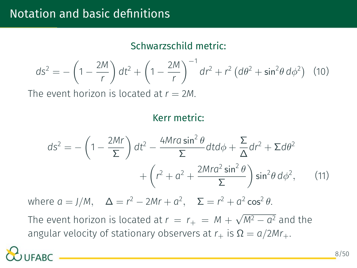#### Schwarzschild metric:

$$
ds^{2} = -\left(1 - \frac{2M}{r}\right)dt^{2} + \left(1 - \frac{2M}{r}\right)^{-1}dr^{2} + r^{2}\left(d\theta^{2} + \sin^{2}\theta\,d\phi^{2}\right) \tag{10}
$$

The event horizon is located at  $r = 2M$ .

#### Kerr metric:

$$
ds^{2} = -\left(1 - \frac{2Mr}{\Sigma}\right)dt^{2} - \frac{4Mra\sin^{2}\theta}{\Sigma}dt d\phi + \frac{\Sigma}{\Delta}dr^{2} + \Sigma d\theta^{2} + \left(r^{2} + a^{2} + \frac{2Mra^{2}\sin^{2}\theta}{\Sigma}\right)\sin^{2}\theta d\phi^{2},
$$
 (11)

 $\Delta = r^2 - 2Mr + a^2$ ,  $\Sigma = r^2 + a^2 \cos^2 θ$ .

The event horizon is located at  $r = r_+ = M + \sqrt{M^2 - a^2}$  and the angular velocity of stationary observers at  $r_+$  is  $\Omega = a/2Mr_+.$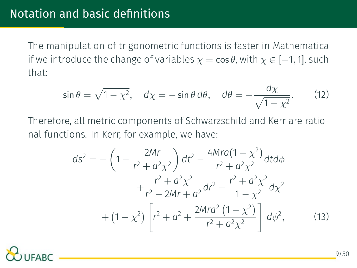The manipulation of trigonometric functions is faster in Mathematica if we introduce the change of variables  $\chi = \cos \theta$ , with  $\chi \in [-1, 1]$ , such that:

$$
\sin \theta = \sqrt{1 - \chi^2}, \quad d\chi = -\sin \theta \, d\theta, \quad d\theta = -\frac{d\chi}{\sqrt{1 - \chi^2}}. \tag{12}
$$

Therefore, all metric components of Schwarzschild and Kerr are rational functions. In Kerr, for example, we have:

$$
ds^{2} = -\left(1 - \frac{2Mr}{r^{2} + a^{2}\chi^{2}}\right)dt^{2} - \frac{4Mra(1 - \chi^{2})}{r^{2} + a^{2}\chi^{2}}dt d\phi
$$

$$
+ \frac{r^{2} + a^{2}\chi^{2}}{r^{2} - 2Mr + a^{2}}dr^{2} + \frac{r^{2} + a^{2}\chi^{2}}{1 - \chi^{2}}d\chi^{2}
$$

$$
+ (1 - \chi^{2})\left[r^{2} + a^{2} + \frac{2Mra^{2}(1 - \chi^{2})}{r^{2} + a^{2}\chi^{2}}\right]d\phi^{2}, \qquad (13)
$$

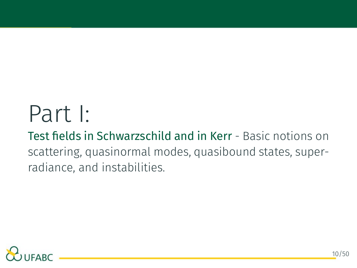## Part I:

Test fields in Schwarzschild and in Kerr - Basic notions on scattering, quasinormal modes, quasibound states, superradiance, and instabilities.

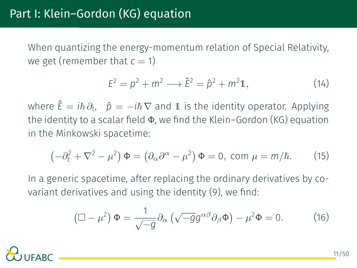When quantizing the energy-momentum relation of Special Relativity, we get (remember that  $c = 1$ )

$$
E2 = p2 + m2 \longrightarrow \hat{E}2 = \hat{p}2 + m212,
$$
 (14)

 $\hat{E} = i\hbar \partial_t$ ,  $\hat{p} = -i\hbar \nabla$  and 1 is the identity operator. Applying the identity to a scalar field Φ, we find the Klein–Gordon (KG) equation in the Minkowski spacetime:

$$
\left(-\partial_t^2 + \nabla^2 - \mu^2\right)\Phi = \left(\partial_\alpha\partial^\alpha - \mu^2\right)\Phi = 0, \text{ com } \mu = m/\hbar. \tag{15}
$$

In a generic spacetime, after replacing the ordinary derivatives by covariant derivatives and using the identity([9](#page-7-0)), we find:

$$
\left(\Box - \mu^2\right) \Phi = \frac{1}{\sqrt{-g}} \partial_\alpha \left(\sqrt{-g} g^{\alpha \beta} \partial_\beta \Phi\right) - \mu^2 \Phi = 0. \tag{16}
$$

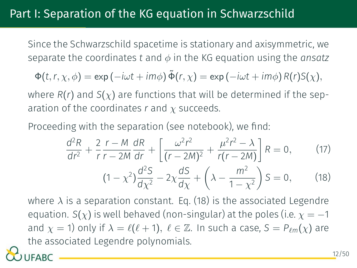#### Part I: Separation of the KG equation in Schwarzschild

Since the Schwarzschild spacetime is stationary and axisymmetric, we separate the coordinates *t* and *ϕ* in the KG equation using the *ansatz*

$$
\Phi(t,r,\chi,\phi) = \exp(-i\omega t + im\phi)\,\tilde{\Phi}(r,\chi) = \exp(-i\omega t + im\phi)\,R(r)S(\chi),
$$

where  $R(r)$  and  $S(\chi)$  are functions that will be determined if the separation of the coordinates *r* and *χ* succeeds.

Proceeding with the separation (see notebook), we find:

<span id="page-12-1"></span><span id="page-12-0"></span>
$$
\frac{d^2R}{dr^2} + \frac{2}{r} \frac{r - M}{r - 2M} \frac{dR}{dr} + \left[ \frac{\omega^2 r^2}{(r - 2M)^2} + \frac{\mu^2 r^2 - \lambda}{r(r - 2M)} \right] R = 0, \qquad (17)
$$
  

$$
(1 - \chi^2) \frac{d^2S}{d\chi^2} - 2\chi \frac{dS}{d\chi} + \left( \lambda - \frac{m^2}{1 - \chi^2} \right) S = 0, \qquad (18)
$$

where  $\lambda$  is a separation constant. Eq. [\(18\)](#page-12-0) is the associated Legendre equation. *S*( $\chi$ ) is well behaved (non-singular) at the poles (i.e.  $\chi = -1$ and  $\chi$  = 1) only if  $\lambda = \ell(\ell + 1)$ ,  $\ell \in \mathbb{Z}$ . In such a case,  $S = P_{\ell m}(\chi)$  are the associated Legendre polynomials.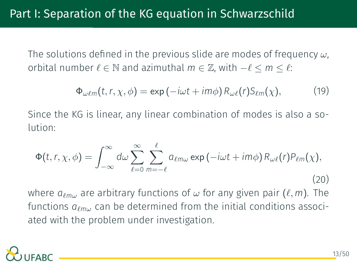The solutions defined in the previous slide are modes of frequency *ω*, orbital number  $\ell \in \mathbb{N}$  and azimuthal  $m \in \mathbb{Z}$ , with  $-\ell \leq m \leq \ell$ :

$$
\Phi_{\omega\ell m}(t,r,\chi,\phi) = \exp(-i\omega t + im\phi) R_{\omega\ell}(r) S_{\ell m}(\chi), \qquad (19)
$$

Since the KG is linear, any linear combination of modes is also a solution:

$$
\Phi(t, r, \chi, \phi) = \int_{-\infty}^{\infty} d\omega \sum_{\ell=0}^{\infty} \sum_{m=-\ell}^{\ell} a_{\ell m \omega} \exp(-i\omega t + im\phi) R_{\omega \ell}(r) P_{\ell m}(\chi), \tag{20}
$$

where *a<sup>ℓ</sup>m<sup>ω</sup>* are arbitrary functions of *ω* for any given pair (*ℓ, m*). The functions *a<sup>ℓ</sup>m<sup>ω</sup>* can be determined from the initial conditions associated with the problem under investigation.

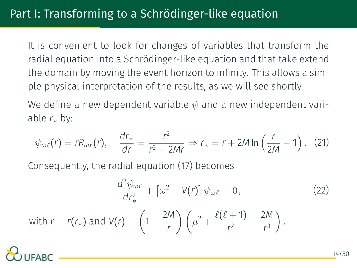It is convenient to look for changes of variables that transform the radial equation into a Schrödinger-like equation and that take extend the domain by moving the event horizon to infinity. This allows a simple physical interpretation of the results, as we will see shortly.

We define a new dependent variable *ψ* and a new independent variable *r<sup>∗</sup>* by:

$$
\psi_{\omega\ell}(r) = rR_{\omega\ell}(r), \quad \frac{dr_*}{dr} = \frac{r^2}{r^2 - 2Mr} \Rightarrow r_* = r + 2M \ln\left(\frac{r}{2M} - 1\right). \tag{21}
$$

Consequently, the radial equation [\(17\)](#page-12-1) becomes

$$
\frac{d^2\psi_{\omega\ell}}{dr_*^2} + \left[\omega^2 - V(r)\right]\psi_{\omega\ell} = 0, \qquad (22)
$$

with 
$$
r = r(r_*)
$$
 and  $V(r) = \left(1 - \frac{2M}{r}\right)\left(\mu^2 + \frac{\ell(\ell+1)}{r^2} + \frac{2M}{r^3}\right).$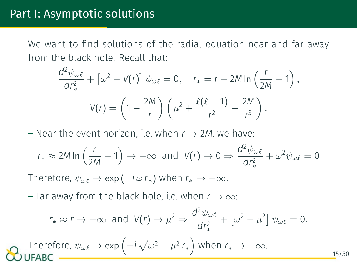We want to find solutions of the radial equation near and far away from the black hole. Recall that:

$$
\frac{d^2\psi_{\omega\ell}}{dr_*^2} + \left[\omega^2 - V(r)\right]\psi_{\omega\ell} = 0, \quad r_* = r + 2M\ln\left(\frac{r}{2M} - 1\right),
$$

$$
V(r) = \left(1 - \frac{2M}{r}\right)\left(\mu^2 + \frac{\ell(\ell+1)}{r^2} + \frac{2M}{r^3}\right).
$$

 $-$  Near the event horizon, i.e. when  $r \rightarrow 2M$ , we have:

$$
r_* \approx 2M \ln \left( \frac{r}{2M} - 1 \right) \rightarrow -\infty
$$
 and  $V(r) \rightarrow 0 \Rightarrow \frac{d^2 \psi_{\omega\ell}}{dr_*^2} + \omega^2 \psi_{\omega\ell} = 0$ 

Therefore,  $\psi_{\omega\ell} \to \exp(\pm i \omega r_*)$  when  $r_* \to -\infty$ .

– Far away from the black hole, i.e. when *r → ∞*:

$$
r_* \approx r \to +\infty
$$
 and  $V(r) \to \mu^2 \Rightarrow \frac{d^2 \psi_{\omega\ell}}{dr_*^2} + [\omega^2 - \mu^2] \psi_{\omega\ell} = 0.$ 

15/50

Therefore,  $\psi_{\omega\ell} \to \exp\left(\pm i\sqrt{\omega^2-\mu^2}\,r_*\right)$  when  $r_* \to +\infty$ .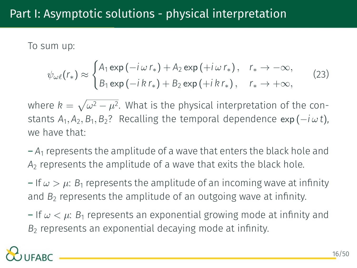#### Part I: Asymptotic solutions - physical interpretation

To sum up:

$$
\psi_{\omega\ell}(r_*) \approx \begin{cases} A_1 \exp(-i\,\omega\,r_*) + A_2 \exp(+i\,\omega\,r_*) \,, & r_* \to -\infty, \\ B_1 \exp(-i\,k\,r_*) + B_2 \exp(+i\,k\,r_*) \,, & r_* \to +\infty, \end{cases} \tag{23}
$$

where  $k = \sqrt{\omega^2 - \mu^2}$ . What is the physical interpretation of the constants  $A_1$ ,  $A_2$ ,  $B_1$ ,  $B_2$ ? Recalling the temporal dependence  $\exp(-i\,\omega\,t)$ , we have that:

 $-A_1$  represents the amplitude of a wave that enters the black hole and *A*<sup>2</sup> represents the amplitude of a wave that exits the black hole.

 $-$  If  $\omega > \mu$ :  $B_1$  represents the amplitude of an incoming wave at infinity and  $B<sub>2</sub>$  represents the amplitude of an outgoing wave at infinity.

 $-$  If  $\omega < \mu$ :  $B_1$  represents an exponential growing mode at infinity and B<sub>2</sub> represents an exponential decaying mode at infinity.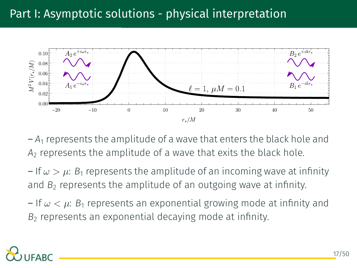#### Part I: Asymptotic solutions - physical interpretation



 $-A_1$  represents the amplitude of a wave that enters the black hole and *A*<sup>2</sup> represents the amplitude of a wave that exits the black hole.

 $-$  If  $\omega > \mu$ :  $B_1$  represents the amplitude of an incoming wave at infinity and  $B<sub>2</sub>$  represents the amplitude of an outgoing wave at infinity.

 $-$  If  $\omega < \mu$ :  $B_1$  represents an exponential growing mode at infinity and B<sub>2</sub> represents an exponential decaying mode at infinity.

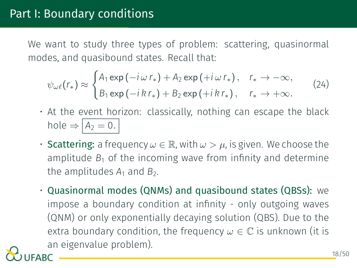We want to study three types of problem: scattering, quasinormal modes, and quasibound states. Recall that:

$$
\psi_{\omega\ell}(r_*) \approx \begin{cases} A_1 \exp(-i\,\omega\,r_*) + A_2 \exp(+i\,\omega\,r_*) \,, & r_* \to -\infty, \\ B_1 \exp(-i\,k\,r_*) + B_2 \exp(+i\,k\,r_*) \,, & r_* \to +\infty. \end{cases} \tag{24}
$$

- At the event horizon: classically, nothing can escape the black hole  $\Rightarrow$   $A_2 = 0$ .
- **Scattering:** a frequency  $\omega \in \mathbb{R}$ , with  $\omega > \mu$ , is given. We choose the amplitude  $B_1$  of the incoming wave from infinity and determine the amplitudes  $A_1$  and  $B_2$ .
- Quasinormal modes (QNMs) and quasibound states (QBSs): we impose a boundary condition at infinity - only outgoing waves (QNM) or only exponentially decaying solution (QBS). Due to the extra boundary condition, the frequency  $\omega \in \mathbb{C}$  is unknown (it is an eigenvalue problem).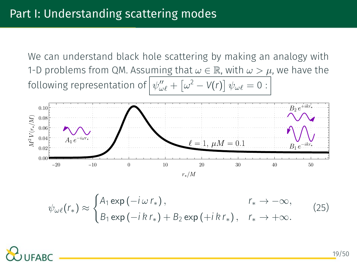We can understand black hole scattering by making an analogy with 1-D problems from QM. Assuming that  $\omega \in \mathbb{R}$ , with  $\omega > \mu$ , we have the  $\text{following representation of } \left[ \psi''_{\omega l} + \left[ \omega^2 - V(r) \right] \psi_{\omega l} = 0 \right]$ 



$$
\psi_{\omega\ell}(r_*) \approx \begin{cases} A_1 \exp(-i\,\omega\,r_*) \,, & r_* \to -\infty, \\ B_1 \exp(-i\,k\,r_*) + B_2 \exp(+i\,k\,r_*) \,, & r_* \to +\infty. \end{cases} \tag{25}
$$

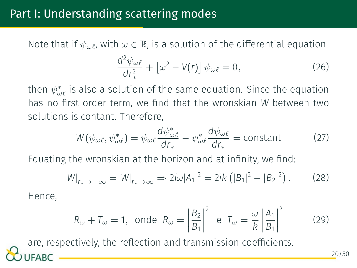#### Part I: Understanding scattering modes

Note that if  $\psi_{\omega}$ , with  $\omega \in \mathbb{R}$ , is a solution of the differential equation

$$
\frac{d^2\psi_{\omega\ell}}{dr_*^2} + \left[\omega^2 - V(r)\right]\psi_{\omega\ell} = 0, \qquad (26)
$$

then *ψ ∗ ωℓ* is also a solution of the same equation. Since the equation has no first order term, we find that the wronskian *W* between two solutions is contant. Therefore,

$$
W(\psi_{\omega\ell}, \psi_{\omega\ell}^*) = \psi_{\omega\ell} \frac{d\psi_{\omega\ell}^*}{dr_*} - \psi_{\omega\ell}^* \frac{d\psi_{\omega\ell}}{dr_*} = \text{constant} \tag{27}
$$

Equating the wronskian at the horizon and at infinity, we find:

$$
W|_{r_* \to -\infty} = W|_{r_* \to \infty} \Rightarrow 2i\omega |A_1|^2 = 2ik \left( |B_1|^2 - |B_2|^2 \right). \tag{28}
$$

Hence,

$$
R_{\omega} + T_{\omega} = 1
$$
, onde  $R_{\omega} = \left| \frac{B_2}{B_1} \right|^2$  e  $T_{\omega} = \frac{\omega}{k} \left| \frac{A_1}{B_1} \right|^2$  (29)

are, respectively, the reflection and transmission coefficients.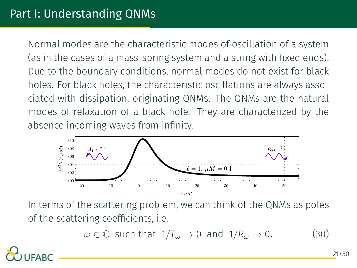Normal modes are the characteristic modes of oscillation of a system (as in the cases of a mass-spring system and a string with fixed ends). Due to the boundary conditions, normal modes do not exist for black holes. For black holes, the characteristic oscillations are always associated with dissipation, originating QNMs. The QNMs are the natural modes of relaxation of a black hole. They are characterized by the absence incoming waves from infinity.



In terms of the scattering problem, we can think of the QNMs as poles of the scattering coefficients, i.e.

 $\omega \in \mathbb{C}$  such that  $1/T_{\omega} \to 0$  and  $1/R_{\omega} \to 0$ . (30)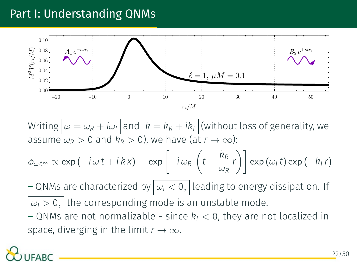#### Part I: Understanding QNMs



Writing  $\omega = \omega_R + i\omega_I$  and  $k = k_R + ik_I$  (without loss of generality, we assume  $\omega_R > 0$  and  $\overline{R}_R > 0$ , we have (at  $r \to \infty$ ):

$$
\phi_{\omega\ell m} \propto \exp(-i\,\omega\,t + i\,k\,x) = \exp\left[-i\,\omega_R\,\left(t - \frac{k_R}{\omega_R}\,r\right)\right] \exp\left(\omega_l\,t\right) \exp\left(-k_l\,r\right)
$$

 $-$  QNMs are characterized by  $|\omega|$  < 0, leading to energy dissipation. If  $\omega$ <sup>*I*</sup>  $\omega$ <sup>*I*</sup>  $\omega$ <sup>*I*</sup>  $\omega$ <sup>*I*</sup>  $\omega$ <sup>*I*</sup> *I*<sup>*I*</sup>  $\omega$ <sup>*I*</sup> *I*<sup>*I*</sup>  $\omega$ <sup>*I*</sup> *I*<sup>*I*</sup>  $\omega$ <sup>*I*</sup> *I*<sup>*I*</sup>  $\omega$ <sup>*I*</sup> *I*<sup>*I*</sup>  $\omega$ <sup>*I*</sup> *II*  $\omega$ <sup>*I*</sup>  $\omega$ <sup>*I*</sup> *I*  $\omega$ *I*  $\omega$ *I*  $\omega$ *I*  $\omega$ *I*  $\omega$ *I*  $\omega$ 

 $-$  QNMs are not normalizable - since  $k<sub>I</sub> < 0$ , they are not localized in space, diverging in the limit  $r \to \infty$ .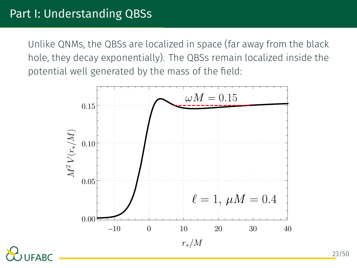#### Part I: Understanding QBSs

Unlike QNMs, the QBSs are localized in space (far away from the black hole, they decay exponentially). The QBSs remain localized inside the potential well generated by the mass of the field:

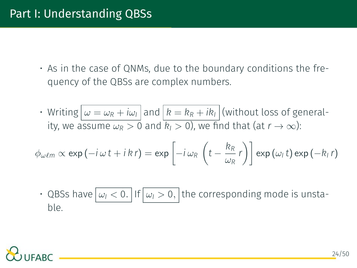• As in the case of QNMs, due to the boundary conditions the frequency of the QBSs are complex numbers.

• Writing  $\omega = \omega_R + i\omega_I$  and  $k = k_R + ik_I$  (without loss of generality, we assume  $\omega_R > 0$  and  $k_l > 0$ ), we find that (at  $r \to \infty$ ):

$$
\phi_{\omega\ell m} \propto \exp(-i\,\omega\,t + i\,k\,r) = \exp\left[-i\,\omega_R\,\left(t - \frac{k_R}{\omega_R}\,r\right)\right] \exp\left(\omega_l\,t\right) \exp\left(-k_l\,r\right)
$$

• QBSs have  $| \omega_1$  < 0. If  $| \omega_1$  > 0, the corresponding mode is unstable.

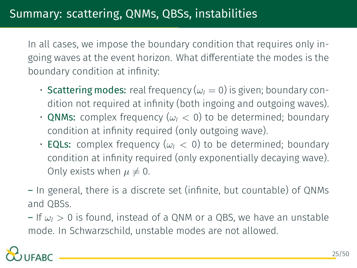In all cases, we impose the boundary condition that requires only ingoing waves at the event horizon. What differentiate the modes is the boundary condition at infinity:

- **Scattering modes:** real frequency ( $\omega$ <sub>I</sub> = 0) is given; boundary condition not required at infinity (both ingoing and outgoing waves).
- **QNMs:** complex frequency ( $\omega$ <sup> $I$ </sup> < 0) to be determined; boundary condition at infinity required (only outgoing wave).
- **EQLs:** complex frequency ( $\omega$ <sup> $I$ </sup>  $<$  0) to be determined; boundary condition at infinity required (only exponentially decaying wave). Only exists when  $\mu \neq 0$ .
- In general, there is a discrete set (infinite, but countable) of QNMs and QBSs.

– If *ω<sup>I</sup> >* 0 is found, instead of a QNM or a QBS, we have an unstable mode. In Schwarzschild, unstable modes are not allowed.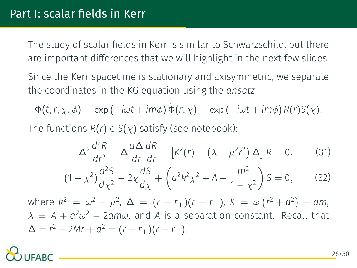The study of scalar fields in Kerr is similar to Schwarzschild, but there are important differences that we will highlight in the next few slides.

Since the Kerr spacetime is stationary and axisymmetric, we separate the coordinates in the KG equation using the *ansatz*

$$
\Phi(t, r, \chi, \phi) = \exp(-i\omega t + im\phi) \tilde{\Phi}(r, \chi) = \exp(-i\omega t + im\phi) R(r) S(\chi).
$$

The functions  $R(r)$  e  $S(\chi)$  satisfy (see notebook):

<span id="page-26-0"></span>
$$
\Delta^2 \frac{d^2 R}{dr^2} + \Delta \frac{d\Delta}{dr} \frac{dR}{dr} + \left[ K^2(r) - \left( \lambda + \mu^2 r^2 \right) \Delta \right] R = 0, \quad (31)
$$

$$
(1 - \chi^2) \frac{d^2 S}{d\chi^2} - 2\chi \frac{dS}{d\chi} + \left( a^2 k^2 \chi^2 + A - \frac{m^2}{1 - \chi^2} \right) S = 0, \quad (32)
$$

 $\omega^{2} = \omega^{2} - \mu^{2}, \ \Delta = (r - r_{+})(r - r_{-}), \ K = \omega(r^{2} + a^{2}) - a m,$  $\lambda = A + a^2 \omega^2 - 2am\omega$ , and *A* is a separation constant. Recall that  $\Delta = r^2 - 2Mr + a^2 = (r - r_+)(r - r_-).$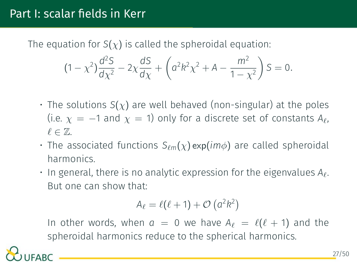#### Part I: scalar fields in Kerr

The equation for  $S(\chi)$  is called the spheroidal equation:

$$
(1 - \chi^2) \frac{d^2S}{dx^2} - 2\chi \frac{dS}{dx} + \left( a^2 k^2 \chi^2 + A - \frac{m^2}{1 - \chi^2} \right) S = 0.
$$

- The solutions *S*(*χ*) are well behaved (non-singular) at the poles (i.e.  $\chi = -1$  and  $\chi = 1$ ) only for a discrete set of constants  $A_{\ell}$ , *ℓ ∈* Z.
- The associated functions *S<sup>ℓ</sup>m*(*χ*) exp(*imϕ*) are called spheroidal harmonics.
- In general, there is no analytic expression for the eigenvalues *Aℓ*. But one can show that:

$$
A_{\ell} = \ell(\ell+1) + \mathcal{O}\left(a^2k^2\right)
$$

In other words, when  $a = 0$  we have  $A_{\ell} = \ell(\ell + 1)$  and the spheroidal harmonics reduce to the spherical harmonics.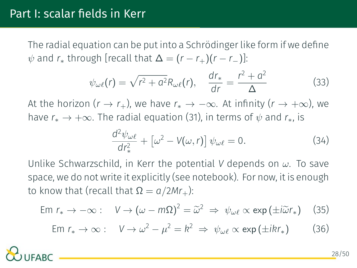The radial equation can be put into a Schrödinger like form if we define  $\psi$  and  $r_*$  through [recall that  $\Delta = (r - r_+)(r - r_-)$ ]:

$$
\psi_{\omega\ell}(r) = \sqrt{r^2 + a^2} R_{\omega\ell}(r), \quad \frac{dr_*}{dr} = \frac{r^2 + a^2}{\Delta} \tag{33}
$$

At the horizon  $(r \to r_+)$ , we have  $r_* \to -\infty$ . At infinity  $(r \to +\infty)$ , we have  $r_* \to +\infty$ . The radial equation [\(31\)](#page-26-0), in terms of  $\psi$  and  $r_*$ , is

$$
\frac{d^2\psi_{\omega\ell}}{dr_*^2} + \left[\omega^2 - V(\omega, r)\right]\psi_{\omega\ell} = 0.
$$
 (34)

Unlike Schwarzschild, in Kerr the potential *V* depends on *ω*. To save space, we do not write it explicitly (see notebook). For now, it is enough to know that (recall that  $Ω = a/2Mr_+$ ):

$$
\text{Em } r_* \to -\infty: \quad V \to (\omega - m\Omega)^2 = \widetilde{\omega}^2 \implies \psi_{\omega\ell} \propto \exp\left(\pm i\widetilde{\omega}r_*\right) \quad (35)
$$

$$
Em r_* \to \infty: \quad V \to \omega^2 - \mu^2 = k^2 \implies \psi_{\omega\ell} \propto \exp\left(\pm ikr_*\right) \tag{36}
$$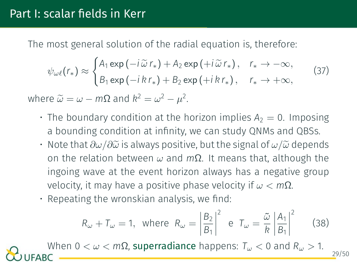The most general solution of the radial equation is, therefore:

$$
\psi_{\omega\ell}(r_*) \approx \begin{cases} A_1 \exp\left(-i\,\widetilde{\omega}\,r_*\right) + A_2 \exp\left(+i\,\widetilde{\omega}\,r_*\right), & r_* \to -\infty, \\ B_1 \exp\left(-i\,k\,r_*\right) + B_2 \exp\left(+i\,k\,r_*\right), & r_* \to +\infty, \end{cases} \tag{37}
$$

where  $\widetilde{\omega} = \omega - m\Omega$  and  $k^2 = \omega^2 - \mu^2$ .

- The boundary condition at the horizon implies  $A_2 = 0$ . Imposing a bounding condition at infinity, we can study QNMs and QBSs.
- Note that  $\partial\omega/\partial\widetilde{\omega}$  is always positive, but the signal of  $\omega/\widetilde{\omega}$  depends on the relation between *ω* and *m*Ω. It means that, although the ingoing wave at the event horizon always has a negative group velocity, it may have a positive phase velocity if *ω < m*Ω.
- Repeating the wronskian analysis, we find:

$$
R_{\omega} + T_{\omega} = 1
$$
, where  $R_{\omega} = \left| \frac{B_2}{B_1} \right|^2$  e  $T_{\omega} = \frac{\tilde{\omega}}{R} \left| \frac{A_1}{B_1} \right|^2$  (38)

When  $0 < ω < m$ Ω, superradiance happens:  $T<sub>ω</sub> < 0$  and  $R<sub>ω</sub> > 1$ . 29/50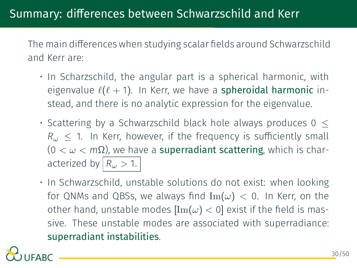The main differences when studying scalar fields around Schwarzschild and Kerr are:

- In Scharzschild, the angular part is a spherical harmonic, with eigenvalue *ℓ*(*ℓ* + 1). In Kerr, we have a spheroidal harmonic instead, and there is no analytic expression for the eigenvalue.
- Scattering by a Schwarzschild black hole always produces 0 *≤ R<sup>ω</sup> ≤* 1. In Kerr, however, if the frequency is sufficiently small (0 *< ω < m*Ω), we have a superradiant scattering, which is characterized by  $|R_{\omega}>1$ .
- In Schwarzschild, unstable solutions do not exist: when looking for QNMs and QBSs, we always find  $\text{Im}(\omega) < 0$ . In Kerr, on the other hand, unstable modes  $\text{Im}(\omega) < 0$ ] exist if the field is massive. These unstable modes are associated with superradiance: superradiant instabilities.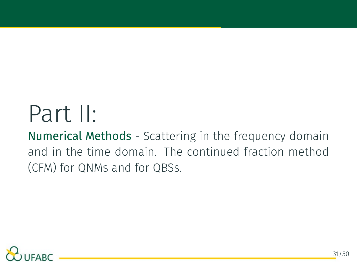# Part II:

Numerical Methods - Scattering in the frequency domain and in the time domain. The continued fraction method (CFM) for QNMs and for QBSs.

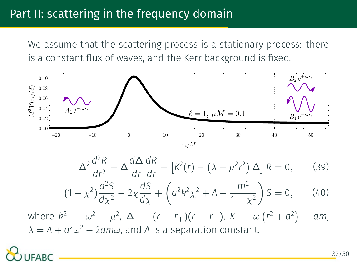#### Part II: scattering in the frequency domain

We assume that the scattering process is a stationary process: there is a constant flux of waves, and the Kerr background is fixed.



$$
\Delta^2 \frac{d^2 R}{dr^2} + \Delta \frac{d\Delta}{dr} \frac{dR}{dr} + \left[ K^2(r) - \left(\lambda + \mu^2 r^2\right) \Delta \right] R = 0, \quad (39)
$$

$$
(1 - \chi^2) \frac{d^2 S}{d\chi^2} - 2\chi \frac{dS}{d\chi} + \left( a^2 k^2 \chi^2 + A - \frac{m^2}{1 - \chi^2} \right) S = 0, \qquad (40)
$$

 $m \text{ where } k^2 = \omega^2 - \mu^2, \ \Delta = (r - r_+)(r - r_-), \ K = \omega (r^2 + a^2) - am,$  $\lambda = A + a^2 \omega^2 - 2am\omega$ , and *A* is a separation constant.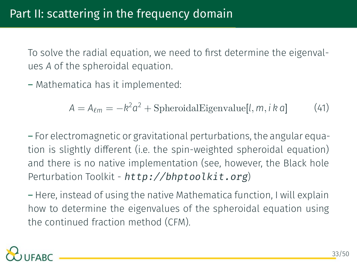To solve the radial equation, we need to first determine the eigenvalues *A* of the spheroidal equation.

– Mathematica has it implemented:

$$
A = A_{\ell m} = -k^2 a^2 + Spheroidal Eigenvalue[l, m, i k a]
$$
 (41)

– For electromagnetic or gravitational perturbations, the angular equation is slightly different (i.e. the spin-weighted spheroidal equation) and there is no native implementation (see, however, the Black hole Perturbation Toolkit - *<http://bhptoolkit.org>*)

– Here, instead of using the native Mathematica function, I will explain how to determine the eigenvalues of the spheroidal equation using the continued fraction method (CFM).

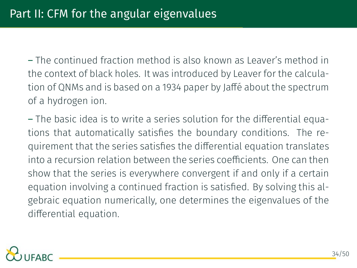– The continued fraction method is also known as Leaver's method in the context of black holes. It was introduced by Leaver for the calculation of QNMs and is based on a 1934 paper by Jaffé about the spectrum of a hydrogen ion.

– The basic idea is to write a series solution for the differential equations that automatically satisfies the boundary conditions. The requirement that the series satisfies the differential equation translates into a recursion relation between the series coefficients. One can then show that the series is everywhere convergent if and only if a certain equation involving a continued fraction is satisfied. By solving this algebraic equation numerically, one determines the eigenvalues of the differential equation.

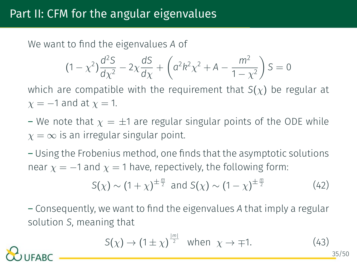#### Part II: CFM for the angular eigenvalues

We want to find the eigenvalues *A* of

$$
(1 - \chi^2) \frac{d^2S}{d\chi^2} - 2\chi \frac{dS}{d\chi} + \left( a^2 k^2 \chi^2 + A - \frac{m^2}{1 - \chi^2} \right) S = 0
$$

which are compatible with the requirement that *S*(*χ*) be regular at *χ* = *−*1 and at *χ* = 1.

– We note that  $\chi = \pm 1$  are regular singular points of the ODE while  $\chi = \infty$  is an irregular singular point.

– Using the Frobenius method, one finds that the asymptotic solutions near  $\chi = -1$  and  $\chi = 1$  have, repectively, the following form:

$$
S(\chi) \sim (1+\chi)^{\pm \frac{m}{2}} \text{ and } S(\chi) \sim (1-\chi)^{\pm \frac{m}{2}} \tag{42}
$$

– Consequently, we want to find the eigenvalues *A* that imply a regular solution *S*, meaning that

$$
S(\chi) \to (1 \pm \chi)^{\frac{|m|}{2}} \text{ when } \chi \to \mp 1. \tag{43}
$$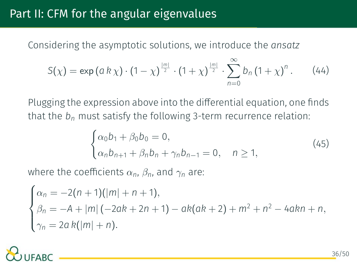Considering the asymptotic solutions, we introduce the *ansatz*

$$
S(\chi) = \exp (a k \chi) \cdot (1 - \chi)^{\frac{|m|}{2}} \cdot (1 + \chi)^{\frac{|m|}{2}} \cdot \sum_{n=0}^{\infty} b_n (1 + \chi)^n.
$$
 (44)

Plugging the expression above into the differential equation, one finds that the *b<sup>n</sup>* must satisfy the following 3-term recurrence relation:

<span id="page-36-0"></span>
$$
\begin{cases} \alpha_0 b_1 + \beta_0 b_0 = 0, \\ \alpha_n b_{n+1} + \beta_n b_n + \gamma_n b_{n-1} = 0, \quad n \ge 1, \end{cases}
$$
 (45)

where the coefficients  $\alpha_n$ ,  $\beta_n$ , and  $\gamma_n$  are:

$$
\begin{cases}\n\alpha_n = -2(n+1)(|m|+n+1), \\
\beta_n = -A + |m|(-2ak+2n+1) - ak(ak+2) + m^2 + n^2 - 4akn + n, \\
\gamma_n = 2a k(|m|+n).\n\end{cases}
$$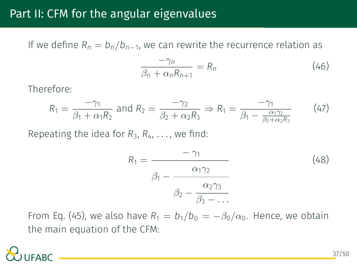#### Part II: CFM for the angular eigenvalues

If we define *R<sup>n</sup>* = *bn/b<sup>n</sup>−*<sup>1</sup> , we can rewrite the recurrence relation as

$$
\frac{-\gamma_n}{\beta_n + \alpha_n R_{n+1}} = R_n \tag{46}
$$

Therefore:

$$
R_1 = \frac{-\gamma_1}{\beta_1 + \alpha_1 R_2} \text{ and } R_2 = \frac{-\gamma_2}{\beta_2 + \alpha_2 R_3} \Rightarrow R_1 = \frac{-\gamma_1}{\beta_1 - \frac{\alpha_1 \gamma_2}{\beta_2 + \alpha_2 R_3}} \tag{47}
$$

Repeating the idea for  $R_3, R_4, \ldots$ , we find:

$$
R_1 = \frac{-\gamma_1}{\beta_1 - \frac{\alpha_1 \gamma_2}{\beta_2 - \frac{\alpha_2 \gamma_3}{\beta_3 - \dots}}}
$$
(48)

FromEq. ([45\)](#page-36-0), we also have  $R_1 = b_1/b_0 = -\beta_0/\alpha_0$ . Hence, we obtain the main equation of the CFM: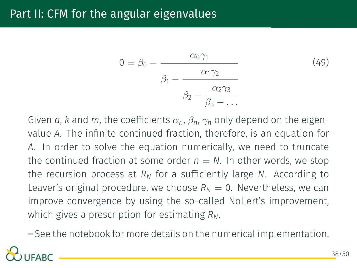#### Part II: CFM for the angular eigenvalues

$$
0 = \beta_0 - \frac{\alpha_0 \gamma_1}{\beta_1 - \frac{\alpha_1 \gamma_2}{\beta_2 - \frac{\alpha_2 \gamma_3}{\beta_3 - \dots}}}
$$
(49)

Given *a*, *k* and *m*, the coefficients  $\alpha_n$ ,  $\beta_n$ ,  $\gamma_n$  only depend on the eigenvalue *A*. The infinite continued fraction, therefore, is an equation for *A*. In order to solve the equation numerically, we need to truncate the continued fraction at some order  $n = N$ . In other words, we stop the recursion process at *R<sup>N</sup>* for a sufficiently large *N*. According to Leaver's original procedure, we choose  $R_N = 0$ . Nevertheless, we can improve convergence by using the so-called Nollert's improvement, which gives a prescription for estimating *RN*.

– See the notebook for more details on the numerical implementation.

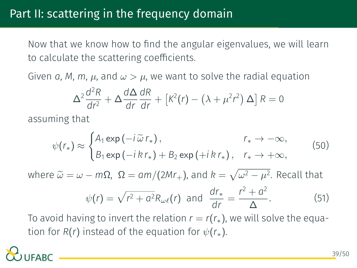#### Part II: scattering in the frequency domain

Now that we know how to find the angular eigenvalues, we will learn to calculate the scattering coefficients.

Given *a*, *M*, *m*, *µ*, and  $\omega > \mu$ , we want to solve the radial equation

$$
\Delta^2 \frac{d^2 R}{dr^2} + \Delta \frac{d\Delta}{dr} \frac{dR}{dr} + \left[ K^2(r) - \left(\lambda + \mu^2 r^2\right) \Delta \right] R = 0
$$

assuming that

$$
\psi(r_*) \approx \begin{cases} A_1 \exp(-i\tilde{\omega} r_*) \,, & r_* \to -\infty, \\ B_1 \exp(-i k r_*) + B_2 \exp(+i k r_*) \,, & r_* \to +\infty, \end{cases} \tag{50}
$$

∆

 $w$ here  $\tilde{\omega} = \omega - mΩ$ , Ω = am/(2Mr<sub>+</sub>), and  $k = \sqrt{\omega^2 - \mu^2}$ . Recall that  $\psi(r) = \sqrt{r^2 + a^2} R_{\omega\ell}(r)$  and  $\frac{dr_*}{dr} = \frac{r^2 + a^2}{\Delta}$ *.* (51)

To avoid having to invert the relation  $r = r(r_*)$ , we will solve the equation for  $R(r)$  instead of the equation for  $\psi(r_*)$ .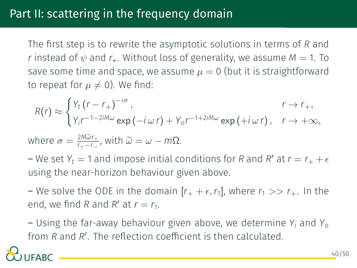The first step is to rewrite the asymptotic solutions in terms of *R* and *r* instead of  $\psi$  and  $r_*$ . Without loss of generality, we assume  $M = 1$ . To save some time and space, we assume  $\mu = 0$  (but it is straightforward to repeat for  $\mu \neq 0$ ). We find:

$$
R(r) \approx \begin{cases} Y_t (r - r_+)^{-i\sigma}, & r \to r_+, \\ Y_i r^{-1-2iM\omega} \exp(-i\,\omega\,r) + Y_0 r^{-1+2iM\omega} \exp(+i\,\omega\,r), & r \to +\infty, \end{cases}
$$

where 
$$
\sigma = \frac{2M\tilde{\omega}r_+}{r_+-r_-}
$$
, with  $\tilde{\omega} = \omega - m\Omega$ .

– We set  $Y_t = 1$  and impose initial conditions for *R* and *R'* at  $r = r_+ + \epsilon$ using the near-horizon behaviour given above.

– We solve the ODE in the domain  $[r_+ + \epsilon, r_1]$ , where  $r_1 >> r_+$ . In the end, we find *R* and *R'* at  $r = r_1$ .

– Using the far-away behaviour given above, we determine *Y<sup>i</sup>* and *Y<sup>o</sup>* from *R* and *R ′* . The reflection coefficient is then calculated.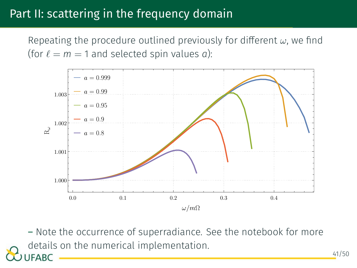#### Part II: scattering in the frequency domain

Repeating the procedure outlined previously for different *ω*, we find (for  $l = m = 1$  and selected spin values *a*):



– Note the occurrence of superradiance. See the notebook for more details on the numerical implementation. **JFABC** 

41/50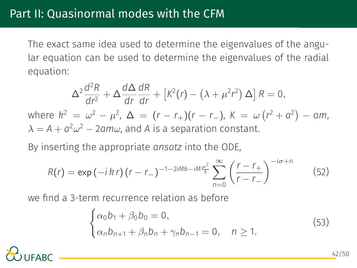The exact same idea used to determine the eigenvalues of the angular equation can be used to determine the eigenvalues of the radial equation:

$$
\Delta^2 \frac{d^2 R}{dr^2} + \Delta \frac{d\Delta}{dr} \frac{dR}{dr} + \left[ k^2(r) - \left( \lambda + \mu^2 r^2 \right) \Delta \right] R = 0,
$$
  
where  $k^2 = \omega^2 - \mu^2$ ,  $\Delta = (r - r_+)(r - r_-)$ ,  $K = \omega (r^2 + a^2) - am$ ,  
 $\lambda = A + a^2 \omega^2 - 2am\omega$ , and A is a separation constant.

By inserting the appropriate *ansatz* into the ODE,

$$
R(r) = \exp(-i\,k\,r)\,(r - r_{-})^{-1-2iMk - iM\frac{\mu^{2}}{k}}\sum_{n=0}^{\infty}\left(\frac{r - r_{+}}{r - r_{-}}\right)^{-i\sigma + n}
$$
(52)

we find a 3-term recurrence relation as before

$$
\begin{cases} \alpha_0 b_1 + \beta_0 b_0 = 0, \\ \alpha_n b_{n+1} + \beta_n b_n + \gamma_n b_{n-1} = 0, \quad n \ge 1. \end{cases}
$$
 (53)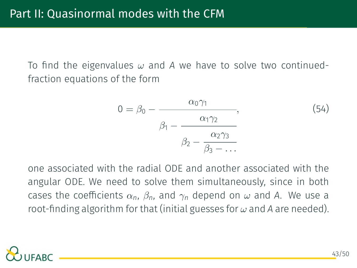To find the eigenvalues *ω* and *A* we have to solve two continuedfraction equations of the form

$$
0 = \beta_0 - \frac{\alpha_0 \gamma_1}{\beta_1 - \frac{\alpha_1 \gamma_2}{\beta_2 - \frac{\alpha_2 \gamma_3}{\beta_3 - \dots}}},
$$
\n(54)

one associated with the radial ODE and another associated with the angular ODE. We need to solve them simultaneously, since in both cases the coefficients  $\alpha_n$ ,  $\beta_n$ , and  $\gamma_n$  depend on  $\omega$  and A. We use a root-finding algorithm for that (initial guesses for *ω* and *A* are needed).

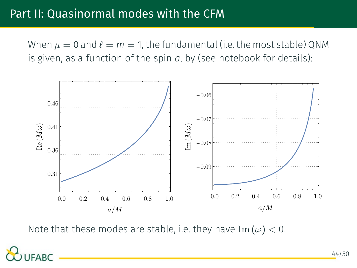#### Part II: Quasinormal modes with the CFM

When  $\mu = 0$  and  $\ell = m = 1$ , the fundamental (i.e. the most stable) QNM is given, as a function of the spin *a*, by (see notebook for details):



Note that these modes are stable, i.e. they have  $\text{Im}(\omega) < 0$ .

FABC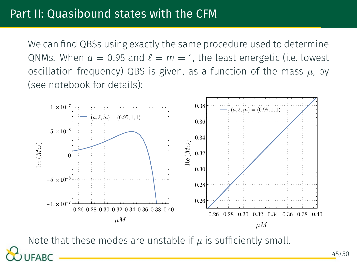We can find QBSs using exactly the same procedure used to determine QNMs. When  $a = 0.95$  and  $\ell = m = 1$ , the least energetic (i.e. lowest oscillation frequency) QBS is given, as a function of the mass *µ*, by (see notebook for details):



Note that these modes are unstable if  $\mu$  is sufficiently small. FABC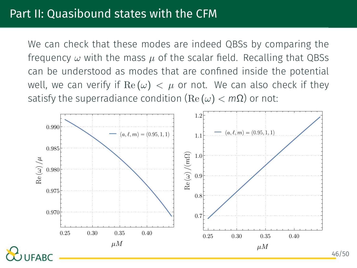We can check that these modes are indeed QBSs by comparing the frequency  $\omega$  with the mass  $\mu$  of the scalar field. Recalling that QBSs can be understood as modes that are confined inside the potential well, we can verify if  $\text{Re}(\omega) < \mu$  or not. We can also check if they satisfy the superradiance condition  $(Re(\omega) < m\Omega)$  or not:

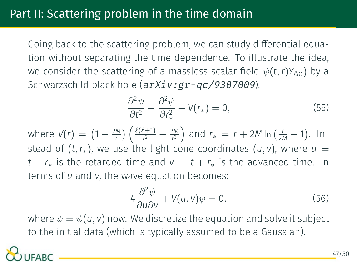Going back to the scattering problem, we can study differential equation without separating the time dependence. To illustrate the idea, we consider the scattering of a massless scalar field  $\psi(t,r)Y_{\ell m}$ ) by a Schwarzschild black hole (*<arXiv:gr-qc/9307009>*):

$$
\frac{\partial^2 \psi}{\partial t^2} - \frac{\partial^2 \psi}{\partial r_*^2} + V(r_*) = 0, \tag{55}
$$

where  $V(r) = (1 - \frac{2M}{r}) \left( \frac{\ell(\ell+1)}{r^2} \right)$  $\frac{f(1+1)}{r^2} + \frac{2M}{r^3}$  and  $r_* = r + 2M \ln(\frac{r}{2M} - 1)$ . Instead of  $(t, r_*)$ , we use the light-cone coordinates  $(u, v)$ , where  $u =$ *t* −  $r_*$  is the retarded time and  $v = t + r_*$  is the advanced time. In terms of *u* and *v*, the wave equation becomes:

$$
4\frac{\partial^2 \psi}{\partial u \partial v} + V(u, v)\psi = 0, \qquad (56)
$$

where  $\psi = \psi(u, v)$  now. We discretize the equation and solve it subject to the initial data (which is typically assumed to be a Gaussian).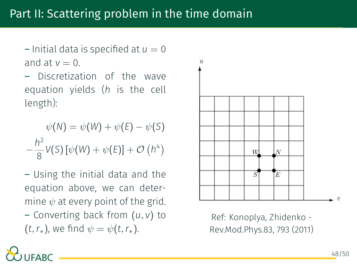$-$  Initial data is specified at  $u = 0$ and at  $v = 0$ .

– Discretization of the wave equation yields (*h* is the cell length):

$$
\psi(N) = \psi(W) + \psi(E) - \psi(S)
$$

$$
-\frac{h^2}{8}V(S)[\psi(W) + \psi(E)] + \mathcal{O}(h^4)
$$

– Using the initial data and the equation above, we can determine  $\psi$  at every point of the grid. – Converting back from (*u, v*) to

 $(t, r_*)$ , we find  $\psi = \psi(t, r_*)$ .



Ref: Konoplya, Zhidenko - Rev.Mod.Phys.83, 793 (2011)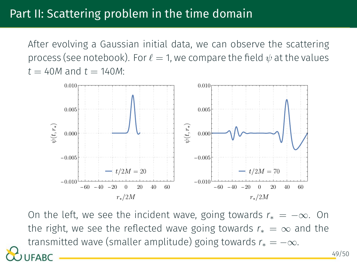#### Part II: Scattering problem in the time domain

After evolving a Gaussian initial data, we can observe the scattering process (see notebook). For  $\ell = 1$ , we compare the field  $\psi$  at the values  $t = 40M$  and  $t = 140M$ :



On the left, we see the incident wave, going towards *r<sup>∗</sup>* = *−∞*. On the right, we see the reflected wave going towards  $r_* = \infty$  and the transmitted wave (smaller amplitude) going towards *r<sup>∗</sup>* = *−∞*. 49/50FABC